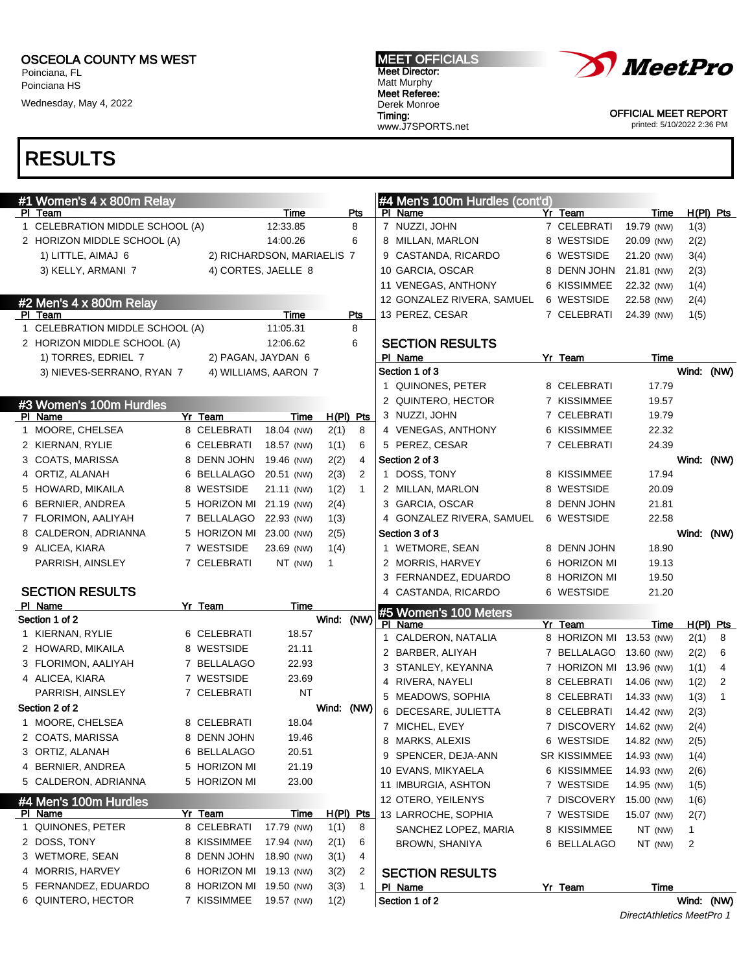Poinciana, FL Poinciana HS

Wednesday, May 4, 2022

#### MEET OFFICIALS Meet Director: Matt Murphy Meet Referee: Derek Monroe Timing: www.J7SPORTS.net



OFFICIAL MEET REPORT printed: 5/10/2022 2:36 PM

### RESULTS

| #1 Women's 4 x 800m Relay       |                         |                            |              |                  | #4 Men's 100m Hurdles (cont'd) |                         |            |            |             |
|---------------------------------|-------------------------|----------------------------|--------------|------------------|--------------------------------|-------------------------|------------|------------|-------------|
| PI Team                         |                         | Time                       |              | Pts              | PI Name                        | Yr Team                 | Time       |            | $H(PI)$ Pts |
| 1 CELEBRATION MIDDLE SCHOOL (A) |                         | 12:33.85                   |              | 8                | 7 NUZZI, JOHN                  | 7 CELEBRATI             | 19.79 (NW) | 1(3)       |             |
| 2 HORIZON MIDDLE SCHOOL (A)     |                         | 14:00.26                   |              | 6                | 8 MILLAN, MARLON               | 8 WESTSIDE              | 20.09 (NW) | 2(2)       |             |
| 1) LITTLE, AIMAJ 6              |                         | 2) RICHARDSON, MARIAELIS 7 |              |                  | 9 CASTANDA, RICARDO            | 6 WESTSIDE              | 21.20 (NW) | 3(4)       |             |
| 3) KELLY, ARMANI 7              |                         | 4) CORTES, JAELLE 8        |              |                  | 10 GARCIA, OSCAR               | 8 DENN JOHN             | 21.81 (NW) | 2(3)       |             |
|                                 |                         |                            |              |                  | 11 VENEGAS, ANTHONY            | 6 KISSIMMEE             | 22.32 (NW) | 1(4)       |             |
| #2 Men's 4 x 800m Relay         |                         |                            |              |                  | 12 GONZALEZ RIVERA, SAMUEL     | 6 WESTSIDE              | 22.58 (NW) | 2(4)       |             |
| PI Team                         |                         | Time                       |              | <b>Pts</b>       | 13 PEREZ, CESAR                | 7 CELEBRATI             | 24.39 (NW) | 1(5)       |             |
| 1 CELEBRATION MIDDLE SCHOOL (A) |                         | 11:05.31                   |              | 8                |                                |                         |            |            |             |
| 2 HORIZON MIDDLE SCHOOL (A)     |                         | 12:06.62                   |              | 6                | <b>SECTION RESULTS</b>         |                         |            |            |             |
| 1) TORRES, EDRIEL 7             | 2) PAGAN, JAYDAN 6      |                            |              |                  | PI Name                        | Yr Team                 | Time       |            |             |
| 3) NIEVES-SERRANO, RYAN 7       |                         | 4) WILLIAMS, AARON 7       |              |                  | Section 1 of 3                 |                         |            | Wind: (NW) |             |
|                                 |                         |                            |              |                  | 1 QUINONES, PETER              | 8 CELEBRATI             | 17.79      |            |             |
| #3 Women's 100m Hurdles         |                         |                            |              |                  | 2 QUINTERO, HECTOR             | 7 KISSIMMEE             | 19.57      |            |             |
| PI Name                         | Yr Team                 | Time                       |              | $H(PI)$ Pts      | 3 NUZZI, JOHN                  | 7 CELEBRATI             | 19.79      |            |             |
| 1 MOORE, CHELSEA                | 8 CELEBRATI             | 18.04 (NW)                 | 2(1)         | 8                | 4 VENEGAS, ANTHONY             | 6 KISSIMMEE             | 22.32      |            |             |
| 2 KIERNAN, RYLIE                | 6 CELEBRATI             | 18.57 (NW)                 | 1(1)         | 6                | 5 PEREZ, CESAR                 | 7 CELEBRATI             | 24.39      |            |             |
| 3 COATS, MARISSA                | 8 DENN JOHN             | 19.46 (NW)                 | 2(2)         | 4                | Section 2 of 3                 |                         |            | Wind: (NW) |             |
| 4 ORTIZ, ALANAH                 | 6 BELLALAGO             | 20.51 (NW)                 | 2(3)         | 2                | 1 DOSS, TONY                   | 8 KISSIMMEE             | 17.94      |            |             |
| 5 HOWARD, MIKAILA               | 8 WESTSIDE              | 21.11 (NW)                 | 1(2)         | $\mathbf{1}$     | 2 MILLAN, MARLON               | 8 WESTSIDE              | 20.09      |            |             |
| 6 BERNIER, ANDREA               | 5 HORIZON MI 21.19 (NW) |                            | 2(4)         |                  | 3 GARCIA, OSCAR                | 8 DENN JOHN             | 21.81      |            |             |
| 7 FLORIMON, AALIYAH             | 7 BELLALAGO             | 22.93 (NW)                 | 1(3)         |                  | 4 GONZALEZ RIVERA, SAMUEL      | 6 WESTSIDE              | 22.58      |            |             |
| 8 CALDERON, ADRIANNA            | 5 HORIZON MI 23.00 (NW) |                            | 2(5)         |                  | Section 3 of 3                 |                         |            | Wind: (NW) |             |
| 9 ALICEA, KIARA                 | 7 WESTSIDE              | 23.69 (NW)                 | 1(4)         |                  | 1 WETMORE, SEAN                | 8 DENN JOHN             | 18.90      |            |             |
| PARRISH, AINSLEY                | 7 CELEBRATI             | NT (NW)                    | $\mathbf{1}$ |                  | 2 MORRIS, HARVEY               | 6 HORIZON MI            | 19.13      |            |             |
|                                 |                         |                            |              |                  | 3 FERNANDEZ, EDUARDO           | 8 HORIZON MI            | 19.50      |            |             |
| <b>SECTION RESULTS</b>          |                         |                            |              |                  | 4 CASTANDA, RICARDO            | 6 WESTSIDE              | 21.20      |            |             |
| PI Name                         | Yr Team                 | Time                       |              |                  | #5 Women's 100 Meters          |                         |            |            |             |
| Section 1 of 2                  |                         |                            | Wind:        | (NW)             | PI Name                        | Yr Team                 | Time       |            | $H(PI)$ Pts |
| 1 KIERNAN, RYLIE                | 6 CELEBRATI             | 18.57                      |              |                  | 1 CALDERON, NATALIA            | 8 HORIZON MI 13.53 (NW) |            | 2(1)       | 8           |
| 2 HOWARD, MIKAILA               | 8 WESTSIDE              | 21.11                      |              |                  | 2 BARBER, ALIYAH               | 7 BELLALAGO             | 13.60 (NW) | 2(2)       | 6           |
| 3 FLORIMON, AALIYAH             | 7 BELLALAGO             | 22.93                      |              |                  | 3 STANLEY, KEYANNA             | 7 HORIZON MI 13.96 (NW) |            | 1(1)       | 4           |
| 4 ALICEA, KIARA                 | 7 WESTSIDE              | 23.69                      |              |                  | 4 RIVERA, NAYELI               | 8 CELEBRATI             | 14.06 (NW) | 1(2)       | 2           |
| PARRISH, AINSLEY                | 7 CELEBRATI             | <b>NT</b>                  |              |                  | 5 MEADOWS, SOPHIA              | 8 CELEBRATI             | 14.33 (NW) | 1(3)       | 1           |
| Section 2 of 2                  |                         |                            | Wind: (NW)   |                  | 6 DECESARE, JULIETTA           | 8 CELEBRATI             | 14.42 (NW) | 2(3)       |             |
| 1 MOORE, CHELSEA                | 8 CELEBRATI             | 18.04                      |              |                  | 7 MICHEL, EVEY                 | 7 DISCOVERY             | 14.62 (NW) | 2(4)       |             |
| 2 COATS, MARISSA                | 8 DENN JOHN             | 19.46                      |              |                  | 8 MARKS, ALEXIS                | 6 WESTSIDE              | 14.82 (NW) | 2(5)       |             |
| 3 ORTIZ, ALANAH                 | 6 BELLALAGO             | 20.51                      |              |                  | 9 SPENCER, DEJA-ANN            | SR KISSIMMEE            | 14.93 (NW) | 1(4)       |             |
| 4 BERNIER, ANDREA               | 5 HORIZON MI            | 21.19                      |              |                  | 10 EVANS, MIKYAELA             | 6 KISSIMMEE             | 14.93 (NW) | 2(6)       |             |
| 5 CALDERON, ADRIANNA            | 5 HORIZON MI            | 23.00                      |              |                  | 11 IMBURGIA, ASHTON            | 7 WESTSIDE              | 14.95 (NW) | 1(5)       |             |
| #4 Men's 100m Hurdles           |                         |                            |              |                  | 12 OTERO, YEILENYS             | 7 DISCOVERY             | 15.00 (NW) | 1(6)       |             |
| PI Name                         | Yr Team                 | <b>Time</b>                |              | <u>H(PI) Pts</u> | 13 LARROCHE, SOPHIA            | 7 WESTSIDE              | 15.07 (NW) | 2(7)       |             |
| 1 QUINONES, PETER               | 8 CELEBRATI             | 17.79 (NW)                 | 1(1)         | 8                | SANCHEZ LOPEZ, MARIA           | 8 KISSIMMEE             | NT (NW)    | 1          |             |
| 2 DOSS, TONY                    | 8 KISSIMMEE             | 17.94 (NW)                 | 2(1)         | 6                | BROWN, SHANIYA                 | 6 BELLALAGO             | NT (NW)    | 2          |             |
| 3 WETMORE, SEAN                 | 8 DENN JOHN             | 18.90 (NW)                 | 3(1)         | 4                |                                |                         |            |            |             |
| 4 MORRIS, HARVEY                | 6 HORIZON MI            | 19.13 (NW)                 | 3(2)         | 2                | <b>SECTION RESULTS</b>         |                         |            |            |             |
| 5 FERNANDEZ, EDUARDO            | 8 HORIZON MI            | 19.50 (NW)                 | 3(3)         | 1                | PI Name                        | Yr Team                 | Time       |            |             |
| 6 QUINTERO, HECTOR              | 7 KISSIMMEE             | 19.57 (NW)                 | 1(2)         |                  | Section 1 of 2                 |                         |            | Wind: (NW) |             |

DirectAthletics MeetPro 1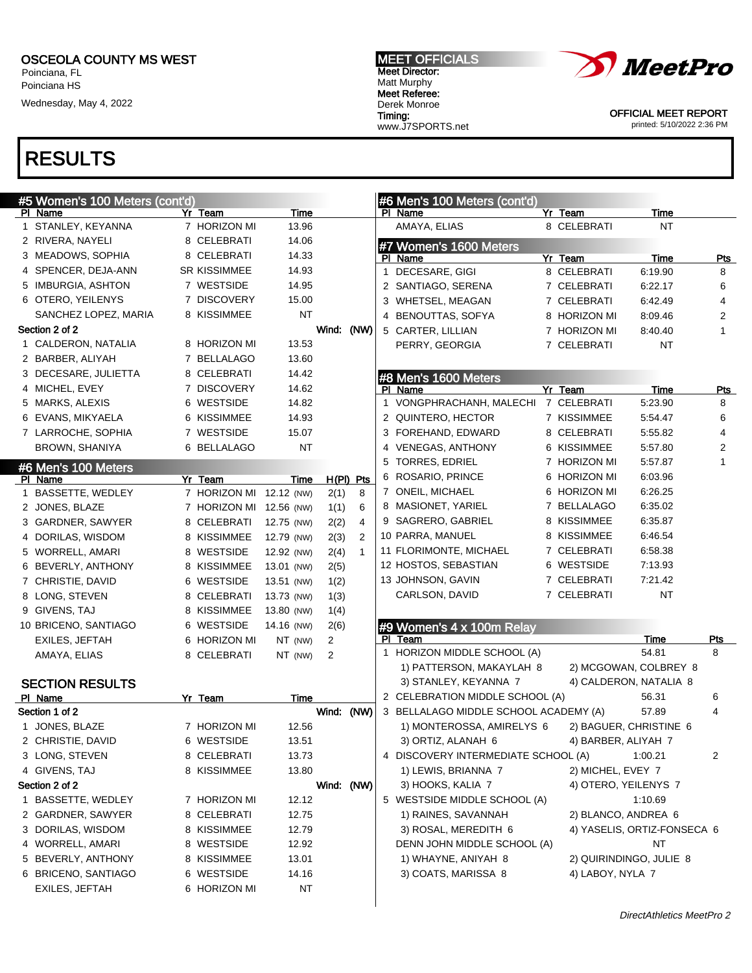Poinciana, FL Poinciana HS

Wednesday, May 4, 2022

## RESULTS

| #5 Women's 100 Meters (cont'd) |                         |            |      |                | #6 Men's 100 Meters (cont'd)          |                      |                             |              |
|--------------------------------|-------------------------|------------|------|----------------|---------------------------------------|----------------------|-----------------------------|--------------|
| PI Name                        | Yr Team                 | Time       |      |                | PI Name                               | Yr Team              | Time                        |              |
| 1 STANLEY, KEYANNA             | 7 HORIZON MI            | 13.96      |      |                | AMAYA, ELIAS                          | 8 CELEBRATI          | <b>NT</b>                   |              |
| 2 RIVERA, NAYELI               | 8 CELEBRATI             | 14.06      |      |                | #7 Women's 1600 Meters                |                      |                             |              |
| 3 MEADOWS, SOPHIA              | 8 CELEBRATI             | 14.33      |      |                | PI Name                               | Yr Team              | Time                        | Pts          |
| 4 SPENCER, DEJA-ANN            | <b>SR KISSIMMEE</b>     | 14.93      |      |                | 1 DECESARE, GIGI                      | 8 CELEBRATI          | 6:19.90                     | 8            |
| 5 IMBURGIA, ASHTON             | 7 WESTSIDE              | 14.95      |      |                | 2 SANTIAGO, SERENA                    | 7 CELEBRATI          | 6:22.17                     | 6            |
| 6 OTERO, YEILENYS              | 7 DISCOVERY             | 15.00      |      |                | 3 WHETSEL, MEAGAN                     | 7 CELEBRATI          | 6:42.49                     | 4            |
| SANCHEZ LOPEZ, MARIA           | 8 KISSIMMEE             | NT         |      |                | 4 BENOUTTAS, SOFYA                    | 8 HORIZON MI         | 8:09.46                     | 2            |
| Section 2 of 2                 |                         |            |      | Wind: (NW)     | 5 CARTER, LILLIAN                     | 7 HORIZON MI         | 8:40.40                     | $\mathbf{1}$ |
| 1 CALDERON, NATALIA            | 8 HORIZON MI            | 13.53      |      |                | PERRY, GEORGIA                        | 7 CELEBRATI          | NT                          |              |
| 2 BARBER, ALIYAH               | 7 BELLALAGO             | 13.60      |      |                |                                       |                      |                             |              |
| 3 DECESARE, JULIETTA           | 8 CELEBRATI             | 14.42      |      |                | #8 Men's 1600 Meters                  |                      |                             |              |
| 4 MICHEL, EVEY                 | 7 DISCOVERY             | 14.62      |      |                | PI Name                               | Yr Team              | Time                        | <u>Pts</u>   |
| 5 MARKS, ALEXIS                | 6 WESTSIDE              | 14.82      |      |                | 1 VONGPHRACHANH, MALECHI              | 7 CELEBRATI          | 5:23.90                     | 8            |
| 6 EVANS, MIKYAELA              | 6 KISSIMMEE             | 14.93      |      |                | 2 QUINTERO, HECTOR                    | 7 KISSIMMEE          | 5:54.47                     | 6            |
| 7 LARROCHE, SOPHIA             | 7 WESTSIDE              | 15.07      |      |                | 3 FOREHAND, EDWARD                    | 8 CELEBRATI          | 5:55.82                     | 4            |
| BROWN, SHANIYA                 | 6 BELLALAGO             | <b>NT</b>  |      |                | 4 VENEGAS, ANTHONY                    | 6 KISSIMMEE          | 5:57.80                     | 2            |
|                                |                         |            |      |                | 5 TORRES, EDRIEL                      | 7 HORIZON MI         | 5:57.87                     | $\mathbf{1}$ |
| #6 Men's 100 Meters<br>PI Name | Yr Team                 | Time       |      | $H(PI)$ Pts    | 6 ROSARIO, PRINCE                     | 6 HORIZON MI         | 6:03.96                     |              |
| 1 BASSETTE, WEDLEY             | 7 HORIZON MI 12.12 (NW) |            | 2(1) | 8              | 7 ONEIL, MICHAEL                      | 6 HORIZON MI         | 6:26.25                     |              |
| 2 JONES, BLAZE                 | 7 HORIZON MI 12.56 (NW) |            | 1(1) | 6              | 8 MASIONET, YARIEL                    | 7 BELLALAGO          | 6:35.02                     |              |
| 3 GARDNER, SAWYER              | 8 CELEBRATI             | 12.75 (NW) | 2(2) | $\overline{4}$ | 9 SAGRERO, GABRIEL                    | 8 KISSIMMEE          | 6:35.87                     |              |
| 4 DORILAS, WISDOM              | 8 KISSIMMEE             | 12.79 (NW) | 2(3) | $\overline{2}$ | 10 PARRA, MANUEL                      | 8 KISSIMMEE          | 6:46.54                     |              |
| 5 WORRELL, AMARI               | 8 WESTSIDE              | 12.92 (NW) | 2(4) | $\mathbf{1}$   | 11 FLORIMONTE, MICHAEL                | 7 CELEBRATI          | 6:58.38                     |              |
| 6 BEVERLY, ANTHONY             | 8 KISSIMMEE             | 13.01 (NW) | 2(5) |                | 12 HOSTOS, SEBASTIAN                  | 6 WESTSIDE           | 7:13.93                     |              |
| 7 CHRISTIE, DAVID              | 6 WESTSIDE              | 13.51 (NW) |      |                | 13 JOHNSON, GAVIN                     | 7 CELEBRATI          | 7:21.42                     |              |
| 8 LONG, STEVEN                 | 8 CELEBRATI             | 13.73 (NW) | 1(2) |                | CARLSON, DAVID                        | 7 CELEBRATI          | <b>NT</b>                   |              |
|                                |                         |            | 1(3) |                |                                       |                      |                             |              |
| 9 GIVENS, TAJ                  | 8 KISSIMMEE             | 13.80 (NW) | 1(4) |                |                                       |                      |                             |              |
| 10 BRICENO, SANTIAGO           | 6 WESTSIDE              | 14.16 (NW) | 2(6) |                | #9 Women's 4 x 100m Relay<br>PI Team  |                      | Time                        | Pts          |
| <b>EXILES, JEFTAH</b>          | 6 HORIZON MI            | NT (NW)    | 2    |                | 1 HORIZON MIDDLE SCHOOL (A)           |                      | 54.81                       | 8            |
| AMAYA, ELIAS                   | 8 CELEBRATI             | NT (NW)    | 2    |                | 1) PATTERSON, MAKAYLAH 8              |                      | 2) MCGOWAN, COLBREY 8       |              |
| <b>SECTION RESULTS</b>         |                         |            |      |                | 3) STANLEY, KEYANNA 7                 |                      | 4) CALDERON, NATALIA 8      |              |
|                                |                         |            |      |                | 2 CELEBRATION MIDDLE SCHOOL (A)       |                      | 56.31                       | 6            |
| PI Name<br>Section 1 of 2      | Yr Team                 | Time       |      | Wind: (NW)     | 3 BELLALAGO MIDDLE SCHOOL ACADEMY (A) |                      | 57.89                       | 4            |
| 1 JONES, BLAZE                 | 7 HORIZON MI            | 12.56      |      |                | 1) MONTEROSSA, AMIRELYS 6             |                      | 2) BAGUER, CHRISTINE 6      |              |
| 2 CHRISTIE, DAVID              | 6 WESTSIDE              | 13.51      |      |                | 3) ORTIZ, ALANAH 6                    | 4) BARBER, ALIYAH 7  |                             |              |
| 3 LONG, STEVEN                 | 8 CELEBRATI             | 13.73      |      |                | 4 DISCOVERY INTERMEDIATE SCHOOL (A)   |                      | 1:00.21                     | 2            |
| 4 GIVENS, TAJ                  | 8 KISSIMMEE             | 13.80      |      |                | 1) LEWIS, BRIANNA 7                   | 2) MICHEL, EVEY 7    |                             |              |
| Section 2 of 2                 |                         |            |      | Wind: (NW)     | 3) HOOKS, KALIA 7                     | 4) OTERO, YEILENYS 7 |                             |              |
| 1 BASSETTE, WEDLEY             | 7 HORIZON MI            | 12.12      |      |                | 5 WESTSIDE MIDDLE SCHOOL (A)          |                      |                             |              |
| 2 GARDNER, SAWYER              |                         |            |      |                | 1) RAINES, SAVANNAH                   |                      | 1:10.69                     |              |
|                                | 8 CELEBRATI             | 12.75      |      |                |                                       | 2) BLANCO, ANDREA 6  |                             |              |
| 3 DORILAS, WISDOM              | 8 KISSIMMEE             | 12.79      |      |                | 3) ROSAL, MEREDITH 6                  |                      | 4) YASELIS, ORTIZ-FONSECA 6 |              |
| 4 WORRELL, AMARI               | 8 WESTSIDE              | 12.92      |      |                | DENN JOHN MIDDLE SCHOOL (A)           |                      | ΝT                          |              |
| 5 BEVERLY, ANTHONY             | 8 KISSIMMEE             | 13.01      |      |                | 1) WHAYNE, ANIYAH 8                   |                      | 2) QUIRINDINGO, JULIE 8     |              |
| 6 BRICENO, SANTIAGO            | 6 WESTSIDE              | 14.16      |      |                | 3) COATS, MARISSA 8                   | 4) LABOY, NYLA 7     |                             |              |
| <b>EXILES, JEFTAH</b>          | 6 HORIZON MI            | NT         |      |                |                                       |                      |                             |              |

MEET OFFICIALS Meet Director: Matt Murphy Meet Referee: Derek Monroe Timing: www.J7SPORTS.net



OFFICIAL MEET REPORT printed: 5/10/2022 2:36 PM

DirectAthletics MeetPro 2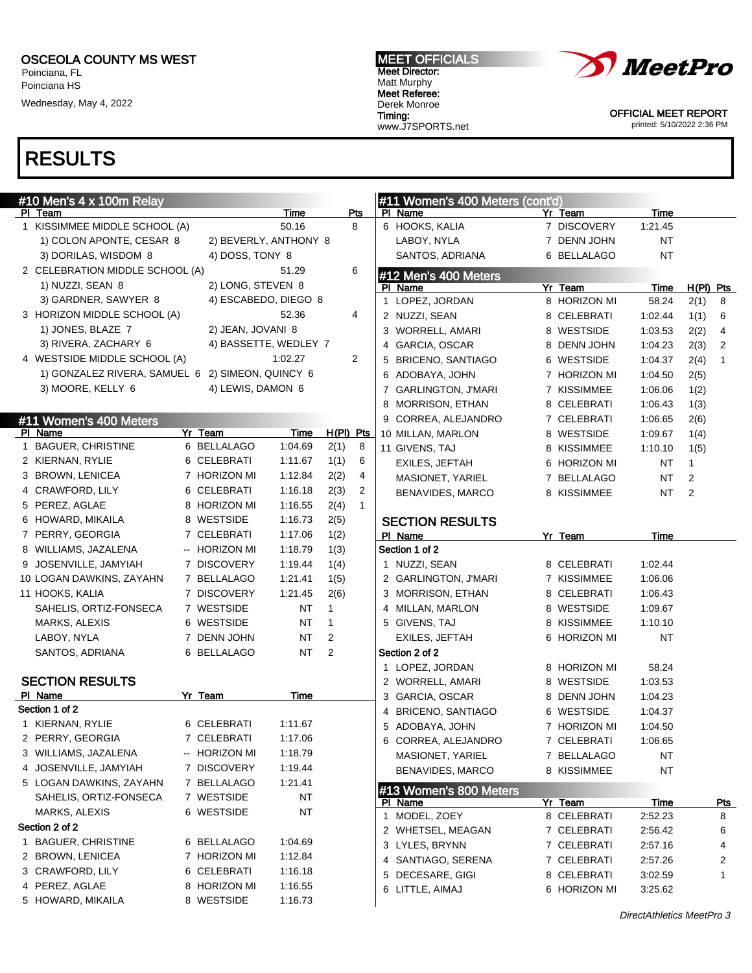5 HOWARD, MIKAILA 8 WESTSIDE 1:16.73

Poinciana, FL Poinciana HS

Wednesday, May 4, 2022

## RESULTS

| #10 Men's 4 x 100m Relay                         |                   |                       |              | Pts          | #11 Women's 400 Meters (cont'd) |                        | Time        |              |              |
|--------------------------------------------------|-------------------|-----------------------|--------------|--------------|---------------------------------|------------------------|-------------|--------------|--------------|
| PI Team<br>1 KISSIMMEE MIDDLE SCHOOL (A)         |                   | Time<br>50.16         |              | 8            | PI Name<br>6 HOOKS, KALIA       | Yr Team<br>7 DISCOVERY | 1:21.45     |              |              |
| 1) COLON APONTE, CESAR 8                         |                   | 2) BEVERLY, ANTHONY 8 |              |              | LABOY, NYLA                     | 7 DENN JOHN            | NT          |              |              |
| 3) DORILAS, WISDOM 8                             | 4) DOSS, TONY 8   |                       |              |              | SANTOS, ADRIANA                 | 6 BELLALAGO            | <b>NT</b>   |              |              |
|                                                  |                   | 51.29                 |              | 6            |                                 |                        |             |              |              |
| 2 CELEBRATION MIDDLE SCHOOL (A)                  |                   |                       |              |              | #12 Men's 400 Meters            |                        |             |              |              |
| 1) NUZZI, SEAN 8                                 | 2) LONG, STEVEN 8 |                       |              |              | PI Name                         | Yr Team                | Time        | $H(PI)$ Pts  |              |
| 3) GARDNER, SAWYER 8                             |                   | 4) ESCABEDO, DIEGO 8  |              |              | 1 LOPEZ, JORDAN                 | 8 HORIZON MI           | 58.24       | 2(1)         | 8            |
| 3 HORIZON MIDDLE SCHOOL (A)                      |                   | 52.36                 |              | 4            | 2 NUZZI, SEAN                   | 8 CELEBRATI            | 1:02.44     | 1(1)         | 6            |
| 1) JONES, BLAZE 7                                | 2) JEAN, JOVANI 8 |                       |              |              | 3 WORRELL, AMARI                | 8 WESTSIDE             | 1:03.53     | 2(2)         | 4            |
| 3) RIVERA, ZACHARY 6                             |                   | 4) BASSETTE, WEDLEY 7 |              |              | 4 GARCIA, OSCAR                 | 8 DENN JOHN            | 1:04.23     | 2(3)         | 2            |
| 4 WESTSIDE MIDDLE SCHOOL (A)                     |                   | 1:02.27               |              | 2            | 5 BRICENO, SANTIAGO             | 6 WESTSIDE             | 1:04.37     | 2(4)         | $\mathbf{1}$ |
| 1) GONZALEZ RIVERA, SAMUEL 6 2) SIMEON, QUINCY 6 |                   |                       |              |              | 6 ADOBAYA, JOHN                 | 7 HORIZON MI           | 1:04.50     | 2(5)         |              |
| 3) MOORE, KELLY 6                                | 4) LEWIS, DAMON 6 |                       |              |              | 7 GARLINGTON, J'MARI            | 7 KISSIMMEE            | 1:06.06     | 1(2)         |              |
|                                                  |                   |                       |              |              | 8 MORRISON, ETHAN               | 8 CELEBRATI            | 1:06.43     | 1(3)         |              |
| #11 Women's 400 Meters                           |                   |                       |              |              | 9 CORREA, ALEJANDRO             | 7 CELEBRATI            | 1:06.65     | 2(6)         |              |
| PI Name                                          | Yr Team           | Time                  | H(PI) Pts    |              | 10 MILLAN, MARLON               | 8 WESTSIDE             | 1:09.67     | 1(4)         |              |
| 1 BAGUER, CHRISTINE                              | 6 BELLALAGO       | 1:04.69               | 2(1)         | 8            | 11 GIVENS, TAJ                  | 8 KISSIMMEE            | 1:10.10     | 1(5)         |              |
| 2 KIERNAN, RYLIE                                 | 6 CELEBRATI       | 1:11.67               | 1(1)         | 6            | EXILES, JEFTAH                  | 6 HORIZON MI           | <b>NT</b>   | $\mathbf{1}$ |              |
| 3 BROWN, LENICEA                                 | 7 HORIZON MI      | 1:12.84               | 2(2)         | 4            | MASIONET, YARIEL                | 7 BELLALAGO            | <b>NT</b>   | 2            |              |
| 4 CRAWFORD, LILY                                 | 6 CELEBRATI       | 1:16.18               | 2(3)         | 2            | BENAVIDES, MARCO                | 8 KISSIMMEE            | <b>NT</b>   | 2            |              |
| 5 PEREZ, AGLAE                                   | 8 HORIZON MI      | 1:16.55               | 2(4)         | $\mathbf{1}$ |                                 |                        |             |              |              |
| 6 HOWARD, MIKAILA                                | 8 WESTSIDE        | 1:16.73               | 2(5)         |              | <b>SECTION RESULTS</b>          |                        |             |              |              |
| 7 PERRY, GEORGIA                                 | 7 CELEBRATI       | 1:17.06               | 1(2)         |              | PI Name                         | Yr Team                | Time        |              |              |
| 8 WILLIAMS, JAZALENA                             | -- HORIZON MI     | 1:18.79               | 1(3)         |              | Section 1 of 2                  |                        |             |              |              |
| 9 JOSENVILLE, JAMYIAH                            | 7 DISCOVERY       | 1:19.44               | 1(4)         |              | 1 NUZZI, SEAN                   | 8 CELEBRATI            | 1:02.44     |              |              |
| 10 LOGAN DAWKINS, ZAYAHN                         | 7 BELLALAGO       | 1:21.41               | 1(5)         |              | 2 GARLINGTON, J'MARI            | 7 KISSIMMEE            | 1:06.06     |              |              |
| 11 HOOKS, KALIA                                  | 7 DISCOVERY       | 1:21.45               | 2(6)         |              | 3 MORRISON, ETHAN               | 8 CELEBRATI            | 1:06.43     |              |              |
| SAHELIS, ORTIZ-FONSECA                           | 7 WESTSIDE        | NT                    | $\mathbf{1}$ |              | 4 MILLAN, MARLON                | 8 WESTSIDE             | 1:09.67     |              |              |
| MARKS, ALEXIS                                    | 6 WESTSIDE        | ΝT                    | $\mathbf{1}$ |              | 5 GIVENS, TAJ                   | 8 KISSIMMEE            | 1:10.10     |              |              |
| LABOY, NYLA                                      | 7 DENN JOHN       | NT                    | 2            |              | EXILES, JEFTAH                  | 6 HORIZON MI           | <b>NT</b>   |              |              |
| SANTOS, ADRIANA                                  | 6 BELLALAGO       | NT                    | 2            |              | Section 2 of 2                  |                        |             |              |              |
|                                                  |                   |                       |              |              | 1 LOPEZ, JORDAN                 | 8 HORIZON MI           | 58.24       |              |              |
| <b>SECTION RESULTS</b>                           |                   |                       |              |              | 2 WORRELL, AMARI                | 8 WESTSIDE             | 1:03.53     |              |              |
| PI Name                                          | Yr Team           | Time                  |              |              | 3 GARCIA, OSCAR                 | 8 DENN JOHN            | 1:04.23     |              |              |
| Section 1 of 2                                   |                   |                       |              |              | 4 BRICENO, SANTIAGO             | 6 WESTSIDE             | 1:04.37     |              |              |
| 1 KIERNAN, RYLIE                                 | 6 CELEBRATI       | 1:11.67               |              |              | 5 ADOBAYA, JOHN                 | 7 HORIZON MI           | 1:04.50     |              |              |
| 2 PERRY, GEORGIA                                 | 7 CELEBRATI       | 1:17.06               |              |              | 6 CORREA, ALEJANDRO             | 7 CELEBRATI            | 1:06.65     |              |              |
| 3 WILLIAMS, JAZALENA                             | -- HORIZON MI     | 1:18.79               |              |              | MASIONET, YARIEL                | 7 BELLALAGO            | NT          |              |              |
| 4 JOSENVILLE, JAMYIAH                            | 7 DISCOVERY       | 1:19.44               |              |              | BENAVIDES, MARCO                | 8 KISSIMMEE            | NT          |              |              |
| 5 LOGAN DAWKINS, ZAYAHN                          | 7 BELLALAGO       | 1:21.41               |              |              |                                 |                        |             |              |              |
| SAHELIS, ORTIZ-FONSECA                           | 7 WESTSIDE        | NT                    |              |              | #13 Women's 800 Meters          |                        |             |              |              |
| MARKS, ALEXIS                                    | 6 WESTSIDE        | NT                    |              |              | PI Name                         | Yr Team                | <u>Time</u> |              | <u>Pts</u>   |
| Section 2 of 2                                   |                   |                       |              |              | 1 MODEL, ZOEY                   | 8 CELEBRATI            | 2:52.23     |              | 8            |
| 1 BAGUER, CHRISTINE                              | 6 BELLALAGO       | 1:04.69               |              |              | 2 WHETSEL, MEAGAN               | 7 CELEBRATI            | 2:56.42     |              | 6            |
|                                                  |                   |                       |              |              | 3 LYLES, BRYNN                  | 7 CELEBRATI            | 2:57.16     |              | 4            |
| 2 BROWN, LENICEA                                 | 7 HORIZON MI      | 1:12.84               |              |              | 4 SANTIAGO, SERENA              | 7 CELEBRATI            | 2:57.26     |              | 2            |
| 3 CRAWFORD, LILY                                 | 6 CELEBRATI       | 1:16.18               |              |              | 5 DECESARE, GIGI                | 8 CELEBRATI            | 3:02.59     |              | 1            |
| 4 PEREZ, AGLAE                                   | 8 HORIZON MI      | 1:16.55               |              |              | 6 LITTLE, AIMAJ                 | 6 HORIZON MI           | 3:25.62     |              |              |



OFFICIAL MEET REPORT printed: 5/10/2022 2:36 PM

MEET OFFICIALS Meet Director: Matt Murphy Meet Referee: Derek Monroe Timing: www.J7SPORTS.net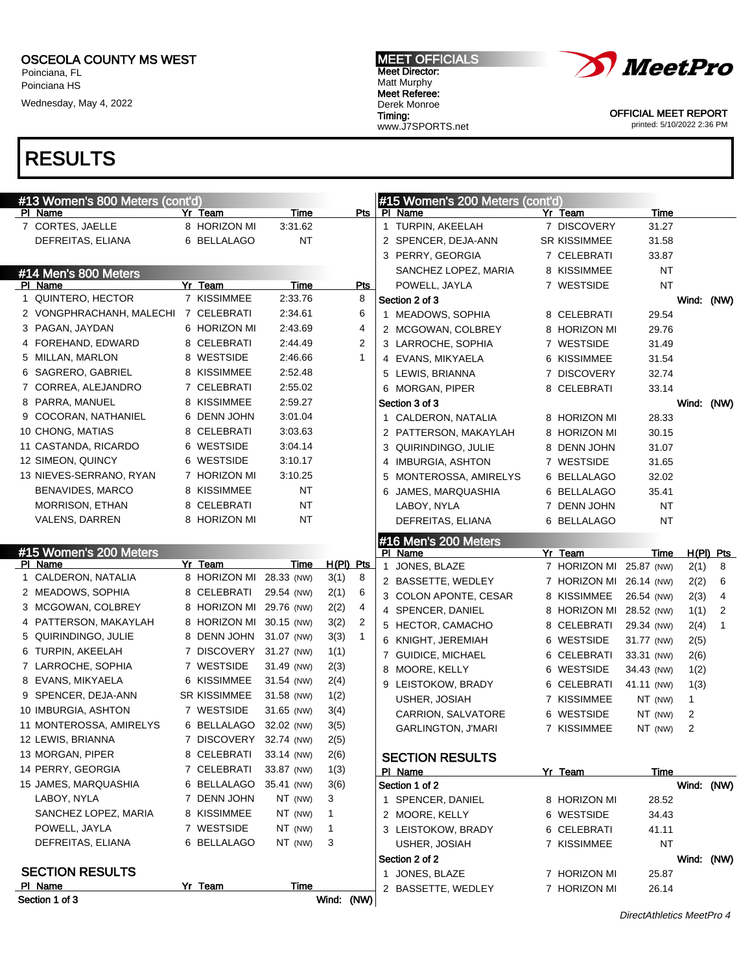Poinciana, FL Poinciana HS

Wednesday, May 4, 2022

## RESULTS

| #13 Women's 800 Meters (cont'd) |                        |            |              |                |   | #15 Women's 200 Meters (cont'd) |   |              |            |                |             |
|---------------------------------|------------------------|------------|--------------|----------------|---|---------------------------------|---|--------------|------------|----------------|-------------|
| PI Name                         | Yr Team                | Time       |              | Pts            |   | PI Name                         |   | Yr Team      | Time       |                |             |
| 7 CORTES, JAELLE                | 8 HORIZON MI           | 3:31.62    |              |                |   | 1 TURPIN, AKEELAH               |   | 7 DISCOVERY  | 31.27      |                |             |
| DEFREITAS, ELIANA               | 6 BELLALAGO            | <b>NT</b>  |              |                |   | 2 SPENCER, DEJA-ANN             |   | SR KISSIMMEE | 31.58      |                |             |
|                                 |                        |            |              |                |   | 3 PERRY, GEORGIA                |   | 7 CELEBRATI  | 33.87      |                |             |
| #14 Men's 800 Meters            |                        |            |              |                |   | SANCHEZ LOPEZ, MARIA            |   | 8 KISSIMMEE  | NT         |                |             |
| PI Name                         | Yr Team                | Time       |              | Pts            |   | POWELL, JAYLA                   |   | 7 WESTSIDE   | ΝT         |                |             |
| 1 QUINTERO, HECTOR              | 7 KISSIMMEE            | 2:33.76    |              | 8              |   | Section 2 of 3                  |   |              |            | Wind: (NW)     |             |
| 2 VONGPHRACHANH, MALECHI        | 7 CELEBRATI            | 2:34.61    |              | 6              |   | 1 MEADOWS, SOPHIA               |   | 8 CELEBRATI  | 29.54      |                |             |
| 3 PAGAN, JAYDAN                 | 6 HORIZON MI           | 2:43.69    |              | 4              |   | 2 MCGOWAN, COLBREY              |   | 8 HORIZON MI | 29.76      |                |             |
| 4 FOREHAND, EDWARD              | 8 CELEBRATI            | 2:44.49    |              | 2              |   | 3 LARROCHE, SOPHIA              |   | 7 WESTSIDE   | 31.49      |                |             |
| 5 MILLAN, MARLON                | 8 WESTSIDE             | 2:46.66    |              | $\mathbf{1}$   |   | 4 EVANS, MIKYAELA               |   | 6 KISSIMMEE  | 31.54      |                |             |
| 6 SAGRERO, GABRIEL              | 8 KISSIMMEE            | 2:52.48    |              |                |   | 5 LEWIS, BRIANNA                |   | 7 DISCOVERY  | 32.74      |                |             |
| 7 CORREA, ALEJANDRO             | 7 CELEBRATI            | 2:55.02    |              |                |   | 6 MORGAN, PIPER                 |   | 8 CELEBRATI  | 33.14      |                |             |
| 8 PARRA, MANUEL                 | 8 KISSIMMEE            | 2:59.27    |              |                |   | Section 3 of 3                  |   |              |            | Wind: (NW)     |             |
| 9 COCORAN, NATHANIEL            | 6 DENN JOHN            | 3:01.04    |              |                |   | 1 CALDERON, NATALIA             |   | 8 HORIZON MI | 28.33      |                |             |
| 10 CHONG, MATIAS                | 8 CELEBRATI            | 3:03.63    |              |                |   | 2 PATTERSON, MAKAYLAH           |   | 8 HORIZON MI | 30.15      |                |             |
| 11 CASTANDA, RICARDO            | 6 WESTSIDE             | 3:04.14    |              |                |   | 3 QUIRINDINGO, JULIE            | 8 | DENN JOHN    | 31.07      |                |             |
| 12 SIMEON, QUINCY               | 6 WESTSIDE             | 3:10.17    |              |                |   | 4 IMBURGIA, ASHTON              |   | 7 WESTSIDE   | 31.65      |                |             |
| 13 NIEVES-SERRANO, RYAN         | 7 HORIZON MI           | 3:10.25    |              |                |   | 5 MONTEROSSA, AMIRELYS          | 6 | BELLALAGO    | 32.02      |                |             |
| <b>BENAVIDES, MARCO</b>         | 8 KISSIMMEE            | ΝT         |              |                |   | 6 JAMES, MARQUASHIA             |   | 6 BELLALAGO  | 35.41      |                |             |
| <b>MORRISON, ETHAN</b>          | 8 CELEBRATI            | ΝT         |              |                |   | LABOY, NYLA                     |   | 7 DENN JOHN  | NT         |                |             |
| VALENS, DARREN                  | 8 HORIZON MI           | <b>NT</b>  |              |                |   | DEFREITAS, ELIANA               |   | 6 BELLALAGO  | NT         |                |             |
|                                 |                        |            |              |                |   | #16 Men's 200 Meters            |   |              |            |                |             |
| #15 Women's 200 Meters          |                        |            |              |                |   | PI Name                         |   | Yr Team      | Time       |                | $H(PI)$ Pts |
| PI Name                         | Yr Team                | Time       | H(PI) Pts    |                | 1 | JONES, BLAZE                    |   | 7 HORIZON MI | 25.87 (NW) | 2(1)           | 8           |
| 1 CALDERON, NATALIA             | 8 HORIZON MI           | 28.33 (NW) | 3(1)         | 8              |   | 2 BASSETTE, WEDLEY              |   | 7 HORIZON MI | 26.14 (NW) | 2(2)           | 6           |
| 2 MEADOWS, SOPHIA               | 8 CELEBRATI            | 29.54 (NW) | 2(1)         | 6              |   | 3 COLON APONTE, CESAR           |   | 8 KISSIMMEE  | 26.54 (NW) | 2(3)           | 4           |
| 3 MCGOWAN, COLBREY              | 8 HORIZON MI           | 29.76 (NW) | 2(2)         | 4              |   | 4 SPENCER, DANIEL               |   | 8 HORIZON MI | 28.52 (NW) | 1(1)           | 2           |
| 4 PATTERSON, MAKAYLAH           | 8 HORIZON MI           | 30.15 (NW) | 3(2)         | $\overline{2}$ |   | 5 HECTOR, CAMACHO               |   | 8 CELEBRATI  | 29.34 (NW) | 2(4)           | 1           |
| 5 QUIRINDINGO, JULIE            | 8 DENN JOHN            | 31.07 (NW) | 3(3)         | $\mathbf{1}$   |   | 6 KNIGHT, JEREMIAH              |   | 6 WESTSIDE   | 31.77 (NW) | 2(5)           |             |
| 6 TURPIN, AKEELAH               | 7 DISCOVERY            | 31.27 (NW) | 1(1)         |                |   | 7 GUIDICE, MICHAEL              |   | 6 CELEBRATI  | 33.31 (NW) | 2(6)           |             |
| 7 LARROCHE, SOPHIA              | 7 WESTSIDE             | 31.49 (NW) | 2(3)         |                |   | 8 MOORE, KELLY                  |   | 6 WESTSIDE   | 34.43 (NW) | 1(2)           |             |
| 8 EVANS, MIKYAELA               | 6 KISSIMMEE            | 31.54 (NW) | 2(4)         |                |   | 9 LEISTOKOW, BRADY              |   | 6 CELEBRATI  | 41.11 (NW) | 1(3)           |             |
| 9 SPENCER, DEJA-ANN             |                        |            |              |                |   |                                 |   |              |            | $\mathbf{1}$   |             |
|                                 | <b>SR KISSIMMEE</b>    | 31.58 (NW) | 1(2)         |                |   | USHER, JOSIAH                   |   | 7 KISSIMMEE  | NT (NW)    |                |             |
| 10 IMBURGIA, ASHTON             | 7 WESTSIDE             | 31.65 (NW) | 3(4)         |                |   | CARRION, SALVATORE              |   | 6 WESTSIDE   | NT (NW)    | 2              |             |
| 11 MONTEROSSA, AMIRELYS         | 6 BELLALAGO            | 32.02 (NW) | 3(5)         |                |   | <b>GARLINGTON, J'MARI</b>       |   | 7 KISSIMMEE  | NT (NW)    | $\overline{c}$ |             |
| 12 LEWIS, BRIANNA               | 7 DISCOVERY 32.74 (NW) |            | 2(5)         |                |   |                                 |   |              |            |                |             |
| 13 MORGAN, PIPER                | 8 CELEBRATI            | 33.14 (NW) | 2(6)         |                |   | <b>SECTION RESULTS</b>          |   |              |            |                |             |
| 14 PERRY, GEORGIA               | 7 CELEBRATI            | 33.87 (NW) | 1(3)         |                |   | PI Name                         |   | Yr Team      | Time       |                |             |
| 15 JAMES, MARQUASHIA            | 6 BELLALAGO            | 35.41 (NW) | 3(6)         |                |   | Section 1 of 2                  |   |              |            | Wind: (NW)     |             |
| LABOY, NYLA                     | 7 DENN JOHN            | NT (NW)    | 3            |                |   | 1 SPENCER, DANIEL               |   | 8 HORIZON MI | 28.52      |                |             |
| SANCHEZ LOPEZ, MARIA            | 8 KISSIMMEE            | NT (NW)    | $\mathbf{1}$ |                |   | 2 MOORE, KELLY                  |   | 6 WESTSIDE   | 34.43      |                |             |
| POWELL, JAYLA                   | 7 WESTSIDE             | NT (NW)    | $\mathbf{1}$ |                |   | 3 LEISTOKOW, BRADY              |   | 6 CELEBRATI  | 41.11      |                |             |
| DEFREITAS, ELIANA               | 6 BELLALAGO            | NT (NW)    | 3            |                |   | USHER, JOSIAH                   |   | 7 KISSIMMEE  | NT         |                |             |
|                                 |                        |            |              |                |   | Section 2 of 2                  |   |              |            | Wind: (NW)     |             |
| <b>SECTION RESULTS</b>          |                        |            |              |                |   | 1 JONES, BLAZE                  |   | 7 HORIZON MI | 25.87      |                |             |
| PI Name<br>Section 1 of 3       | Yr Team                | Time       | Wind: (NW)   |                |   | 2 BASSETTE, WEDLEY              |   | 7 HORIZON MI | 26.14      |                |             |

MEET OFFICIALS Meet Director: Matt Murphy Meet Referee: Derek Monroe

Timing:

www.J7SPORTS.net



OFFICIAL MEET REPORT printed: 5/10/2022 2:36 PM

DirectAthletics MeetPro 4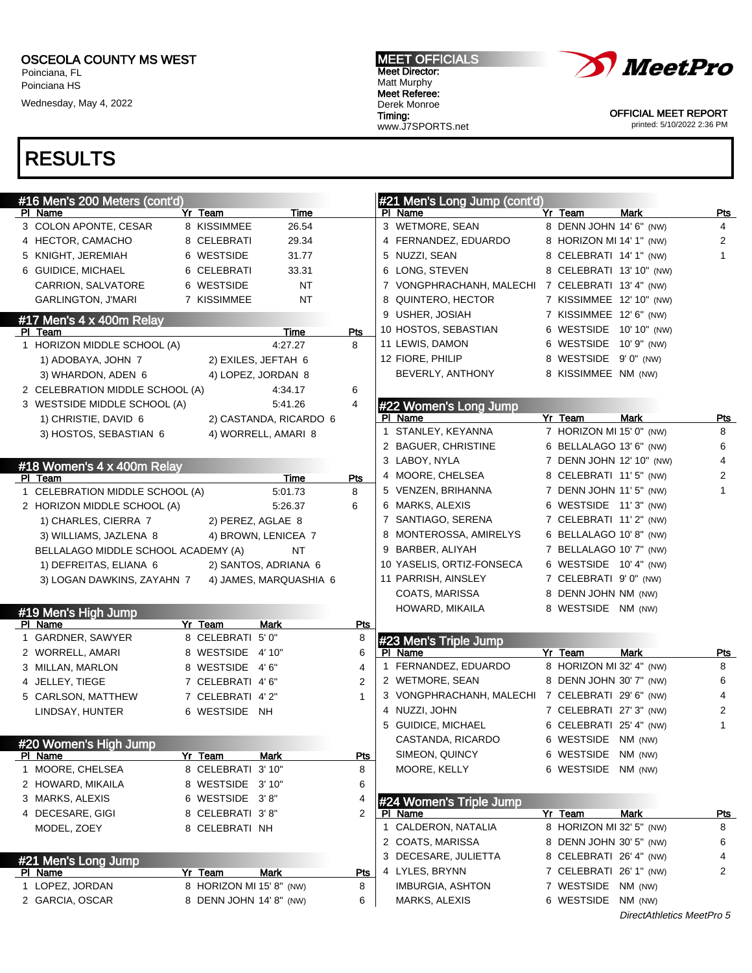Poinciana, FL Poinciana HS

Wednesday, May 4, 2022

#### MEET OFFICIALS Meet Director: Matt Murphy Meet Referee: Derek Monroe Timing: www.J7SPORTS.net



OFFICIAL MEET REPORT printed: 5/10/2022 2:36 PM

## RESULTS

| #16 Men's 200 Meters (cont'd)       |                          |                        |                | #21 Men's Long Jump (cont'd)                     |                          |                           |                |
|-------------------------------------|--------------------------|------------------------|----------------|--------------------------------------------------|--------------------------|---------------------------|----------------|
| PI Name                             | Yr Team                  | Time                   |                | PI Name                                          | Yr Team                  | <b>Mark</b>               | Pts            |
| 3 COLON APONTE, CESAR               | 8 KISSIMMEE              | 26.54                  |                | 3 WETMORE, SEAN                                  | 8 DENN JOHN 14' 6" (NW)  |                           | $\overline{4}$ |
| 4 HECTOR, CAMACHO                   | 8 CELEBRATI              | 29.34                  |                | 4 FERNANDEZ, EDUARDO                             | 8 HORIZON MI 14' 1" (NW) |                           | $\overline{2}$ |
| 5 KNIGHT, JEREMIAH                  | 6 WESTSIDE               | 31.77                  |                | 5 NUZZI, SEAN                                    | 8 CELEBRATI 14' 1" (NW)  |                           | $\mathbf{1}$   |
| 6 GUIDICE, MICHAEL                  | 6 CELEBRATI              | 33.31                  |                | 6 LONG, STEVEN                                   | 8 CELEBRATI 13' 10" (NW) |                           |                |
| CARRION, SALVATORE                  | 6 WESTSIDE               | <b>NT</b>              |                | 7 VONGPHRACHANH, MALECHI 7 CELEBRATI 13' 4" (NW) |                          |                           |                |
| <b>GARLINGTON, J'MARI</b>           | 7 KISSIMMEE              | <b>NT</b>              |                | 8 QUINTERO, HECTOR                               | 7 KISSIMMEE 12' 10" (NW) |                           |                |
| #17 Men's 4 x 400m Relay            |                          |                        |                | 9 USHER, JOSIAH                                  | 7 KISSIMMEE 12' 6" (NW)  |                           |                |
| PI Team                             |                          | Time                   | Pts            | 10 HOSTOS, SEBASTIAN                             | 6 WESTSIDE 10' 10" (NW)  |                           |                |
| 1 HORIZON MIDDLE SCHOOL (A)         |                          | 4:27.27                | 8              | 11 LEWIS, DAMON                                  | 6 WESTSIDE 10' 9" (NW)   |                           |                |
| 1) ADOBAYA, JOHN 7                  |                          | 2) EXILES, JEFTAH 6    |                | 12 FIORE, PHILIP                                 | 8 WESTSIDE 9'0" (NW)     |                           |                |
| 3) WHARDON, ADEN 6                  |                          | 4) LOPEZ, JORDAN 8     |                | BEVERLY, ANTHONY                                 | 8 KISSIMMEE NM (NW)      |                           |                |
| 2 CELEBRATION MIDDLE SCHOOL (A)     |                          | 4:34.17                | 6              |                                                  |                          |                           |                |
| 3 WESTSIDE MIDDLE SCHOOL (A)        |                          | 5:41.26                | 4              | #22 Women's Long Jump                            |                          |                           |                |
| 1) CHRISTIE, DAVID 6                |                          | 2) CASTANDA, RICARDO 6 |                | PI Name                                          | Yr Team                  | <b>Mark</b>               | Pts            |
| 3) HOSTOS, SEBASTIAN 6              |                          | 4) WORRELL, AMARI 8    |                | 1 STANLEY, KEYANNA                               | 7 HORIZON MI 15' 0" (NW) |                           | 8              |
|                                     |                          |                        |                | 2 BAGUER, CHRISTINE                              | 6 BELLALAGO 13' 6" (NW)  |                           | 6              |
| #18 Women's 4 x 400m Relay          |                          |                        |                | 3 LABOY, NYLA                                    | 7 DENN JOHN 12' 10" (NW) |                           | 4              |
| PI Team                             |                          | Time                   | Pts            | 4 MOORE, CHELSEA                                 | 8 CELEBRATI 11'5" (NW)   |                           | 2              |
| 1 CELEBRATION MIDDLE SCHOOL (A)     |                          | 5:01.73                | 8              | 5 VENZEN, BRIHANNA                               | 7 DENN JOHN 11' 5" (NW)  |                           | $\mathbf{1}$   |
| 2 HORIZON MIDDLE SCHOOL (A)         |                          | 5:26.37                | 6              | 6 MARKS, ALEXIS                                  | 6 WESTSIDE 11'3" (NW)    |                           |                |
| 1) CHARLES, CIERRA 7                | 2) PEREZ, AGLAE 8        |                        |                | 7 SANTIAGO, SERENA                               | 7 CELEBRATI 11'2" (NW)   |                           |                |
| 3) WILLIAMS, JAZLENA 8              |                          | 4) BROWN, LENICEA 7    |                | 8 MONTEROSSA, AMIRELYS                           | 6 BELLALAGO 10'8" (NW)   |                           |                |
| BELLALAGO MIDDLE SCHOOL ACADEMY (A) |                          | <b>NT</b>              |                | 9 BARBER, ALIYAH                                 | 7 BELLALAGO 10' 7" (NW)  |                           |                |
| 1) DEFREITAS, ELIANA 6              |                          | 2) SANTOS, ADRIANA 6   |                | 10 YASELIS, ORTIZ-FONSECA                        | 6 WESTSIDE 10' 4" (NW)   |                           |                |
| 3) LOGAN DAWKINS, ZAYAHN 7          |                          | 4) JAMES, MARQUASHIA 6 |                | 11 PARRISH, AINSLEY                              | 7 CELEBRATI 9'0" (NW)    |                           |                |
|                                     |                          |                        |                | COATS, MARISSA                                   | 8 DENN JOHN NM (NW)      |                           |                |
| #19 Men's High Jump                 |                          |                        |                | HOWARD, MIKAILA                                  | 8 WESTSIDE NM (NW)       |                           |                |
| PI Name                             | Yr Team                  | Mark                   | Pts            |                                                  |                          |                           |                |
| 1 GARDNER, SAWYER                   | 8 CELEBRATI 5'0"         |                        | 8              | #23 Men's Triple Jump                            |                          |                           |                |
| 2 WORRELL, AMARI                    | 8 WESTSIDE 4'10"         |                        | 6              | PI Name                                          | Yr Team                  | Mark                      | Pts            |
| 3 MILLAN, MARLON                    | 8 WESTSIDE 4'6"          |                        | 4              | 1 FERNANDEZ, EDUARDO                             | 8 HORIZON MI 32' 4" (NW) |                           | 8              |
| 4 JELLEY, TIEGE                     | 7 CELEBRATI 4'6"         |                        | 2              | 2 WETMORE, SEAN                                  | 8 DENN JOHN 30' 7" (NW)  |                           | 6              |
| 5 CARLSON, MATTHEW                  | 7 CELEBRATI 4'2"         |                        | $\mathbf{1}$   | 3 VONGPHRACHANH, MALECHI 7 CELEBRATI 29'6" (NW)  |                          |                           | 4              |
| LINDSAY, HUNTER                     | 6 WESTSIDE NH            |                        |                | 4 NUZZI, JOHN                                    | 7 CELEBRATI 27' 3" (NW)  |                           | 2              |
|                                     |                          |                        |                | 5 GUIDICE, MICHAEL                               | 6 CELEBRATI 25' 4" (NW)  |                           | $\mathbf{1}$   |
| #20 Women's High Jump               |                          |                        |                | CASTANDA, RICARDO                                | 6 WESTSIDE NM (NW)       |                           |                |
| PI Name                             | Yr Team                  | Mark                   | <u>Pts</u>     | SIMEON, QUINCY                                   | 6 WESTSIDE NM (NW)       |                           |                |
| 1 MOORE, CHELSEA                    | 8 CELEBRATI 3' 10"       |                        | 8              | MOORE, KELLY                                     | 6 WESTSIDE NM (NW)       |                           |                |
| 2 HOWARD, MIKAILA                   | 8 WESTSIDE 3'10"         |                        | 6              |                                                  |                          |                           |                |
| 3 MARKS, ALEXIS                     | 6 WESTSIDE 3'8"          |                        | 4              | #24 Women's Triple Jump                          |                          |                           |                |
| 4 DECESARE, GIGI                    | 8 CELEBRATI 3'8"         |                        | $\overline{2}$ | PI Name                                          | Yr Team                  | Mark                      | <u>Pts</u>     |
| MODEL, ZOEY                         | 8 CELEBRATI NH           |                        |                | 1 CALDERON, NATALIA                              | 8 HORIZON MI 32' 5" (NW) |                           | 8              |
|                                     |                          |                        |                | 2 COATS, MARISSA                                 | 8 DENN JOHN 30' 5" (NW)  |                           | 6              |
| #21 Men's Long Jump                 |                          |                        |                | 3 DECESARE, JULIETTA                             | 8 CELEBRATI 26' 4" (NW)  |                           | 4              |
| <u>PI Name</u>                      | Yr Team                  | <b>Mark</b>            | Pts            | 4 LYLES, BRYNN                                   | 7 CELEBRATI 26' 1" (NW)  |                           | 2              |
| 1 LOPEZ, JORDAN                     | 8 HORIZON MI 15' 8" (NW) |                        | 8              | <b>IMBURGIA, ASHTON</b>                          | 7 WESTSIDE NM (NW)       |                           |                |
| 2 GARCIA, OSCAR                     | 8 DENN JOHN 14' 8" (NW)  |                        | 6              | MARKS, ALEXIS                                    | 6 WESTSIDE NM (NW)       |                           |                |
|                                     |                          |                        |                |                                                  |                          | DirectAthletics MeetPro 5 |                |